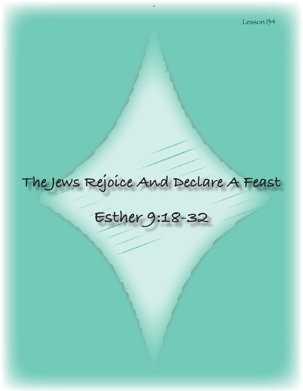# **The Jews Rejoice And Declare A Feast**

## **Esther 9:18-32**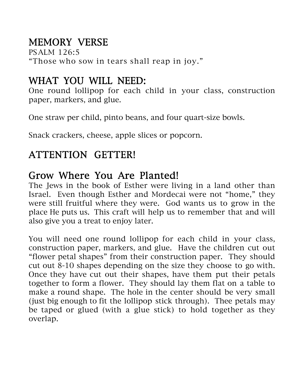## MEMORY VERSE

PSALM 126:5 "Those who sow in tears shall reap in joy."

## WHAT YOU WILL NEED:

One round lollipop for each child in your class, construction paper, markers, and glue.

One straw per child, pinto beans, and four quart-size bowls.

Snack crackers, cheese, apple slices or popcorn.

## ATTENTION GETTER!

## Grow Where You Are Planted!

The Jews in the book of Esther were living in a land other than Israel. Even though Esther and Mordecai were not "home," they were still fruitful where they were. God wants us to grow in the place He puts us. This craft will help us to remember that and will also give you a treat to enjoy later.

You will need one round lollipop for each child in your class, construction paper, markers, and glue. Have the children cut out "flower petal shapes" from their construction paper. They should cut out 8-10 shapes depending on the size they choose to go with. Once they have cut out their shapes, have them put their petals together to form a flower. They should lay them flat on a table to make a round shape. The hole in the center should be very small (just big enough to fit the lollipop stick through). Thee petals may be taped or glued (with a glue stick) to hold together as they overlap.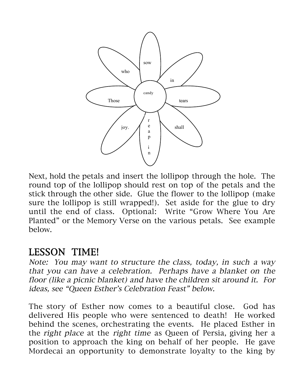

Next, hold the petals and insert the lollipop through the hole. The round top of the lollipop should rest on top of the petals and the stick through the other side. Glue the flower to the lollipop (make sure the lollipop is still wrapped!). Set aside for the glue to dry until the end of class. Optional: Write "Grow Where You Are Planted" or the Memory Verse on the various petals. See example below.

## LESSON TIME!

Note: You may want to structure the class, today, in such a way that you can have a celebration. Perhaps have a blanket on the floor (like a picnic blanket) and have the children sit around it. For ideas, see "Queen Esther's Celebration Feast" below.

The story of Esther now comes to a beautiful close. God has delivered His people who were sentenced to death! He worked behind the scenes, orchestrating the events. He placed Esther in the right place at the right time as Queen of Persia, giving her a position to approach the king on behalf of her people. He gave Mordecai an opportunity to demonstrate loyalty to the king by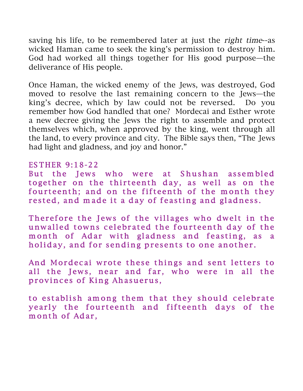saving his life, to be remembered later at just the right time--as wicked Haman came to seek the king's permission to destroy him. God had worked all things together for His good purpose—the deliverance of His people.

Once Haman, the wicked enemy of the Jews, was destroyed, God moved to resolve the last remaining concern to the Jews—the king's decree, which by law could not be reversed. Do you remember how God handled that one? Mordecai and Esther wrote a new decree giving the Jews the right to assemble and protect themselves which, when approved by the king, went through all the land, to every province and city. The Bible says then, "The Jews had light and gladness, and joy and honor."

#### ES THER 9:18-22

But the Jews who were at Shushan assembled together on the thirteenth day, as well as on the fourteenth; and on the fifteenth of the month they rested, and made it a day of feasting and gladness.

Therefore the Jews of the villages who dwelt in the unwalled towns celebrated the fourteenth day of the m onth of Adar with gladness and feasting, as a holiday, and for sending presents to one another.

And Mordecai wrote these things and sent letters to all the Jews, near and far, who were in all the provinces of King Ahasuerus,

to establish among them that they should celebrate yearly the fourteenth and fifteenth days of the month of Adar,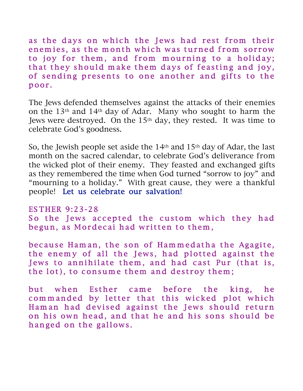as the days on which the Jews had rest from their enemies, as the month which was turned from sorrow to joy for them, and from mourning to a holiday; that they should make them days of feasting and joy, of sending presents to one another and gifts to the poor .

The Jews defended themselves against the attacks of their enemies on the 13th and 14th day of Adar. Many who sought to harm the Jews were destroyed. On the 15<sup>th</sup> day, they rested. It was time to celebrate God's goodness.

So, the Jewish people set aside the 14th and 15th day of Adar, the last month on the sacred calendar, to celebrate God's deliverance from the wicked plot of their enemy. They feasted and exchanged gifts as they remembered the time when God turned "sorrow to joy" and "mourning to a holiday." With great cause, they were a thankful people! Let us celebrate our salvation!

ES THER 9:23-28

So the Jews accepted the custom which they had begun, as Mordecai had written to them,

because Haman, the son of Hammedatha the Agagite, the enemy of all the Jews, had plotted against the Jews to annihilate them, and had cast Pur (that is, the lot), to consume them and destroy them;

but when Esther came before the king, he commanded by letter that this wicked plot which Ham an had devised against the Jews should return on his own head, and that he and his sons should be hanged on the gallows.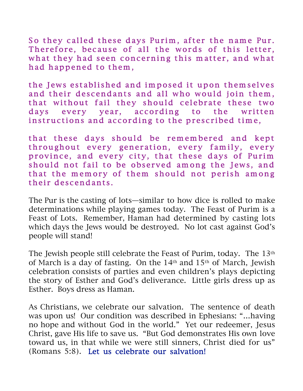So they called these days Purim, after the name Pur. Therefore, because of all the words of this letter, what they had seen concerning this matter, and what had happened to them,

the Jews established and imposed it upon themselves and their descendants and all who would join them, that without fail they should celebrate these two days every year, according to the written instructions and according to the prescribed time,

that these days should be remembered and kept throughout every generation, every family, every province, and every city, that these days of Purim should not fail to be observed among the Jews, and that the memory of them should not perish among their descendants.

The Pur is the casting of lots—similar to how dice is rolled to make determinations while playing games today. The Feast of Purim is a Feast of Lots. Remember, Haman had determined by casting lots which days the Jews would be destroyed. No lot cast against God's people will stand!

The Jewish people still celebrate the Feast of Purim, today. The 13<sup>th</sup> of March is a day of fasting. On the 14th and 15th of March, Jewish celebration consists of parties and even children's plays depicting the story of Esther and God's deliverance. Little girls dress up as Esther. Boys dress as Haman.

As Christians, we celebrate our salvation. The sentence of death was upon us! Our condition was described in Ephesians: "…having no hope and without God in the world." Yet our redeemer, Jesus Christ, gave His life to save us. "But God demonstrates His own love toward us, in that while we were still sinners, Christ died for us" (Romans 5:8). Let us celebrate our salvation!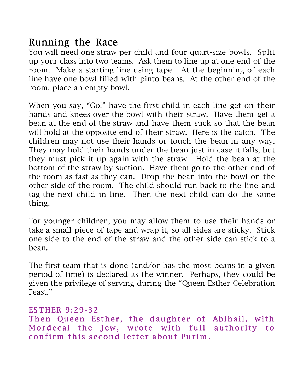## Running the Race

You will need one straw per child and four quart-size bowls. Split up your class into two teams. Ask them to line up at one end of the room. Make a starting line using tape. At the beginning of each line have one bowl filled with pinto beans. At the other end of the room, place an empty bowl.

When you say, "Go!" have the first child in each line get on their hands and knees over the bowl with their straw. Have them get a bean at the end of the straw and have them suck so that the bean will hold at the opposite end of their straw. Here is the catch. The children may not use their hands or touch the bean in any way. They may hold their hands under the bean just in case it falls, but they must pick it up again with the straw. Hold the bean at the bottom of the straw by suction. Have them go to the other end of the room as fast as they can. Drop the bean into the bowl on the other side of the room. The child should run back to the line and tag the next child in line. Then the next child can do the same thing.

For younger children, you may allow them to use their hands or take a small piece of tape and wrap it, so all sides are sticky. Stick one side to the end of the straw and the other side can stick to a bean.

The first team that is done (and/or has the most beans in a given period of time) is declared as the winner. Perhaps, they could be given the privilege of serving during the "Queen Esther Celebration Feast."

#### ES THER 9:29-32

Then Queen Esther, the daughter of Abihail, with Mordecai the Jew, wrote with full authority to confirm this second letter about Purim.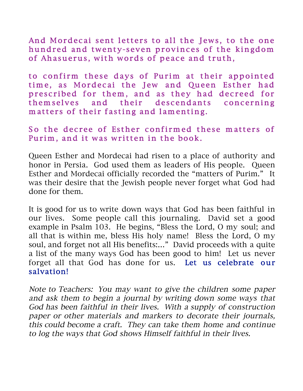And Mordecai sent letters to all the Jews, to the one hundred and twenty-seven provinces of the kingdom of Ahasuerus, with words of peace and truth,

to confirm these days of Purim at their appointed time, as Mordecai the Jew and Queen Esther had prescribed for them, and as they had decreed for them selves and their descendants concerning matters of their fasting and lamenting.

### So the decree of Esther confirmed these matters of Purim, and it was written in the book.

Queen Esther and Mordecai had risen to a place of authority and honor in Persia. God used them as leaders of His people. Queen Esther and Mordecai officially recorded the "matters of Purim." It was their desire that the Jewish people never forget what God had done for them.

It is good for us to write down ways that God has been faithful in our lives. Some people call this journaling. David set a good example in Psalm 103. He begins, "Bless the Lord, O my soul; and all that is within me, bless His holy name! Bless the Lord, O my soul, and forget not all His benefits:..." David proceeds with a quite a list of the many ways God has been good to him! Let us never forget all that God has done for us. Let us celebrate our salvation!

Note to Teachers: You may want to give the children some paper and ask them to begin a journal by writing down some ways that God has been faithful in their lives. With a supply of construction paper or other materials and markers to decorate their journals, this could become a craft. They can take them home and continue to log the ways that God shows Himself faithful in their lives.